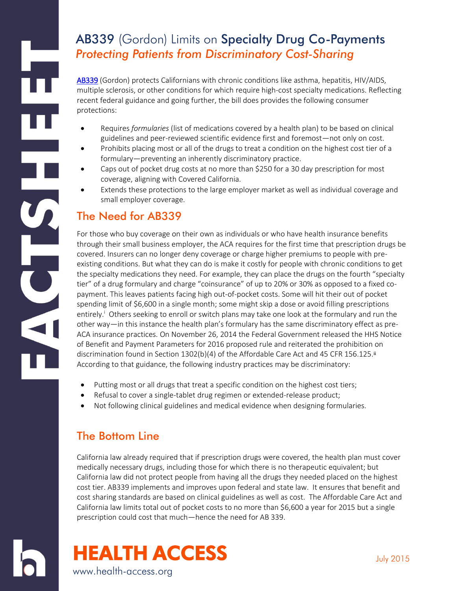# AB339 (Gordon) Limits on Specialty Drug Co-Payments *Protecting Patients from Discriminatory Cost-Sharing*

[AB339](http://leginfo.legislature.ca.gov/faces/billNavClient.xhtml?bill_id=201520160AB339&search_keywords=) (Gordon) protects Californians with chronic conditions like asthma, hepatitis, HIV/AIDS, multiple sclerosis, or other conditions for which require high-cost specialty medications. Reflecting recent federal guidance and going further, the bill does provides the following consumer protections:

- Requires *formularies* (list of medications covered by a health plan) to be based on clinical guidelines and peer-reviewed scientific evidence first and foremost—not only on cost.
- Prohibits placing most or all of the drugs to treat a condition on the highest cost tier of a formulary—preventing an inherently discriminatory practice.
- Caps out of pocket drug costs at no more than \$250 for a 30 day prescription for most coverage, aligning with Covered California.
- Extends these protections to the large employer market as well as individual coverage and small employer coverage.

### The Need for AB339

For those who buy coverage on their own as individuals or who have health insurance benefits through their small business employer, the ACA requires for the first time that prescription drugs be covered. Insurers can no longer deny coverage or charge higher premiums to people with preexisting conditions. But what they can do is make it costly for people with chronic conditions to get the specialty medications they need. For example, they can place the drugs on the fourth "specialty tier" of a drug formulary and charge "coinsurance" of up to 20% or 30% as opposed to a fixed copayment. This leaves patients facing high out-of-pocket costs. Some will hit their out of pocket spending limit of \$6,600 in a single month; some might skip a dose or avoid filling prescriptions entirely.<sup>i</sup> Others seeking to enroll or switch plans may take one look at the formulary and run the other way—in this instance the health plan's formulary has the same discriminatory effect as pre-ACA insurance practices. On November 26, 2014 the Federal Government released the HHS Notice of Benefit and Payment Parameters for 2016 proposed rule and reiterated the prohibition on discrimination found in Section 1302(b)(4) of the Affordable Care Act and 45 CFR 156.125.<sup>ii</sup> According to that guidance, the following industry practices may be discriminatory:

- Putting most or all drugs that treat a specific condition on the highest cost tiers;
- Refusal to cover a single-tablet drug regimen or extended-release product;
- Not following clinical guidelines and medical evidence when designing formularies.

## The Bottom Line

California law already required that if prescription drugs were covered, the health plan must cover medically necessary drugs, including those for which there is no therapeutic equivalent; but California law did not protect people from having all the drugs they needed placed on the highest cost tier. AB339 implements and improves upon federal and state law. It ensures that benefit and cost sharing standards are based on clinical guidelines as well as cost. The Affordable Care Act and California law limits total out of pocket costs to no more than \$6,600 a year for 2015 but a single prescription could cost that much—hence the need for AB 339.